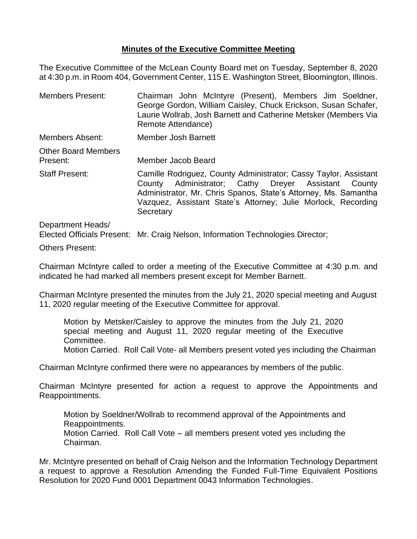## **Minutes of the Executive Committee Meeting**

The Executive Committee of the McLean County Board met on Tuesday, September 8, 2020 at 4:30 p.m. in Room 404, Government Center, 115 E. Washington Street, Bloomington, Illinois.

Members Present: Chairman John McIntyre (Present), Members Jim Soeldner, George Gordon, William Caisley, Chuck Erickson, Susan Schafer, Laurie Wollrab, Josh Barnett and Catherine Metsker (Members Via Remote Attendance) Members Absent: Member Josh Barnett Other Board Members Present: Member Jacob Beard Staff Present: Camille Rodriguez, County Administrator; Cassy Taylor, Assistant County Administrator; Cathy Dreyer Assistant County Administrator, Mr. Chris Spanos, State's Attorney, Ms. Samantha Vazquez, Assistant State's Attorney; Julie Morlock, Recording **Secretary** 

Department Heads/ Elected Officials Present: Mr. Craig Nelson, Information Technologies Director;

Others Present:

Chairman McIntyre called to order a meeting of the Executive Committee at 4:30 p.m. and indicated he had marked all members present except for Member Barnett.

Chairman McIntyre presented the minutes from the July 21, 2020 special meeting and August 11, 2020 regular meeting of the Executive Committee for approval.

Motion by Metsker/Caisley to approve the minutes from the July 21, 2020 special meeting and August 11, 2020 regular meeting of the Executive Committee.

Motion Carried. Roll Call Vote- all Members present voted yes including the Chairman

Chairman McIntyre confirmed there were no appearances by members of the public.

Chairman McIntyre presented for action a request to approve the Appointments and Reappointments.

Motion by Soeldner/Wollrab to recommend approval of the Appointments and Reappointments. Motion Carried. Roll Call Vote – all members present voted yes including the Chairman.

Mr. McIntyre presented on behalf of Craig Nelson and the Information Technology Department a request to approve a Resolution Amending the Funded Full-Time Equivalent Positions Resolution for 2020 Fund 0001 Department 0043 Information Technologies.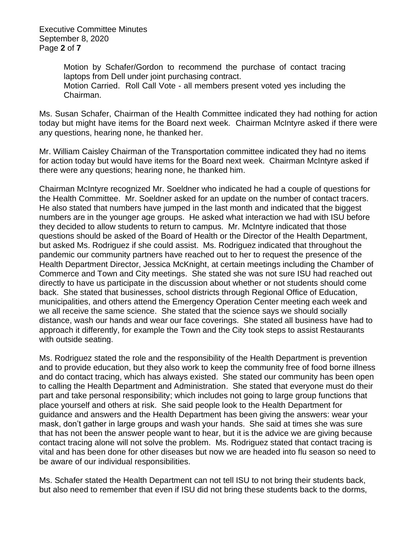Executive Committee Minutes September 8, 2020 Page **2** of **7**

> Motion by Schafer/Gordon to recommend the purchase of contact tracing laptops from Dell under joint purchasing contract. Motion Carried. Roll Call Vote - all members present voted yes including the Chairman.

Ms. Susan Schafer, Chairman of the Health Committee indicated they had nothing for action today but might have items for the Board next week. Chairman McIntyre asked if there were any questions, hearing none, he thanked her.

Mr. William Caisley Chairman of the Transportation committee indicated they had no items for action today but would have items for the Board next week. Chairman McIntyre asked if there were any questions; hearing none, he thanked him.

Chairman McIntyre recognized Mr. Soeldner who indicated he had a couple of questions for the Health Committee. Mr. Soeldner asked for an update on the number of contact tracers. He also stated that numbers have jumped in the last month and indicated that the biggest numbers are in the younger age groups. He asked what interaction we had with ISU before they decided to allow students to return to campus. Mr. McIntyre indicated that those questions should be asked of the Board of Health or the Director of the Health Department, but asked Ms. Rodriguez if she could assist. Ms. Rodriguez indicated that throughout the pandemic our community partners have reached out to her to request the presence of the Health Department Director, Jessica McKnight, at certain meetings including the Chamber of Commerce and Town and City meetings. She stated she was not sure ISU had reached out directly to have us participate in the discussion about whether or not students should come back. She stated that businesses, school districts through Regional Office of Education, municipalities, and others attend the Emergency Operation Center meeting each week and we all receive the same science. She stated that the science says we should socially distance, wash our hands and wear our face coverings. She stated all business have had to approach it differently, for example the Town and the City took steps to assist Restaurants with outside seating.

Ms. Rodriguez stated the role and the responsibility of the Health Department is prevention and to provide education, but they also work to keep the community free of food borne illness and do contact tracing, which has always existed. She stated our community has been open to calling the Health Department and Administration. She stated that everyone must do their part and take personal responsibility; which includes not going to large group functions that place yourself and others at risk. She said people look to the Health Department for guidance and answers and the Health Department has been giving the answers: wear your mask, don't gather in large groups and wash your hands. She said at times she was sure that has not been the answer people want to hear, but it is the advice we are giving because contact tracing alone will not solve the problem. Ms. Rodriguez stated that contact tracing is vital and has been done for other diseases but now we are headed into flu season so need to be aware of our individual responsibilities.

Ms. Schafer stated the Health Department can not tell ISU to not bring their students back, but also need to remember that even if ISU did not bring these students back to the dorms,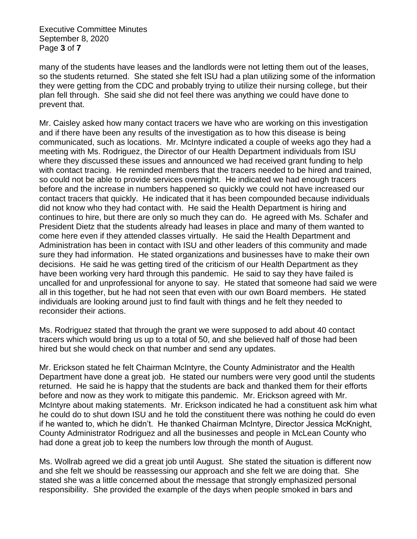Executive Committee Minutes September 8, 2020 Page **3** of **7**

many of the students have leases and the landlords were not letting them out of the leases, so the students returned. She stated she felt ISU had a plan utilizing some of the information they were getting from the CDC and probably trying to utilize their nursing college, but their plan fell through. She said she did not feel there was anything we could have done to prevent that.

Mr. Caisley asked how many contact tracers we have who are working on this investigation and if there have been any results of the investigation as to how this disease is being communicated, such as locations. Mr. McIntyre indicated a couple of weeks ago they had a meeting with Ms. Rodriguez, the Director of our Health Department individuals from ISU where they discussed these issues and announced we had received grant funding to help with contact tracing. He reminded members that the tracers needed to be hired and trained, so could not be able to provide services overnight. He indicated we had enough tracers before and the increase in numbers happened so quickly we could not have increased our contact tracers that quickly. He indicated that it has been compounded because individuals did not know who they had contact with. He said the Health Department is hiring and continues to hire, but there are only so much they can do. He agreed with Ms. Schafer and President Dietz that the students already had leases in place and many of them wanted to come here even if they attended classes virtually. He said the Health Department and Administration has been in contact with ISU and other leaders of this community and made sure they had information. He stated organizations and businesses have to make their own decisions. He said he was getting tired of the criticism of our Health Department as they have been working very hard through this pandemic. He said to say they have failed is uncalled for and unprofessional for anyone to say. He stated that someone had said we were all in this together, but he had not seen that even with our own Board members. He stated individuals are looking around just to find fault with things and he felt they needed to reconsider their actions.

Ms. Rodriguez stated that through the grant we were supposed to add about 40 contact tracers which would bring us up to a total of 50, and she believed half of those had been hired but she would check on that number and send any updates.

Mr. Erickson stated he felt Chairman McIntyre, the County Administrator and the Health Department have done a great job. He stated our numbers were very good until the students returned. He said he is happy that the students are back and thanked them for their efforts before and now as they work to mitigate this pandemic. Mr. Erickson agreed with Mr. McIntyre about making statements. Mr. Erickson indicated he had a constituent ask him what he could do to shut down ISU and he told the constituent there was nothing he could do even if he wanted to, which he didn't. He thanked Chairman McIntyre, Director Jessica McKnight, County Administrator Rodriguez and all the businesses and people in McLean County who had done a great job to keep the numbers low through the month of August.

Ms. Wollrab agreed we did a great job until August. She stated the situation is different now and she felt we should be reassessing our approach and she felt we are doing that. She stated she was a little concerned about the message that strongly emphasized personal responsibility. She provided the example of the days when people smoked in bars and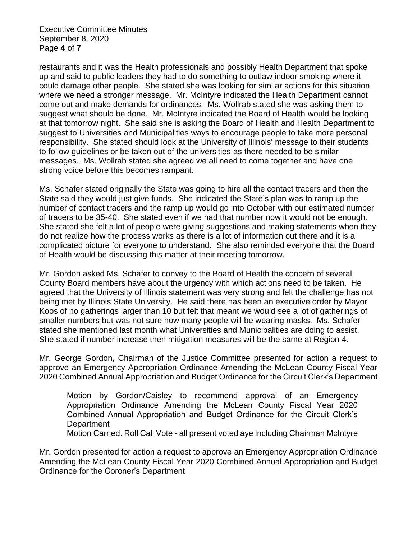Executive Committee Minutes September 8, 2020 Page **4** of **7**

restaurants and it was the Health professionals and possibly Health Department that spoke up and said to public leaders they had to do something to outlaw indoor smoking where it could damage other people. She stated she was looking for similar actions for this situation where we need a stronger message. Mr. McIntyre indicated the Health Department cannot come out and make demands for ordinances. Ms. Wollrab stated she was asking them to suggest what should be done. Mr. McIntyre indicated the Board of Health would be looking at that tomorrow night. She said she is asking the Board of Health and Health Department to suggest to Universities and Municipalities ways to encourage people to take more personal responsibility. She stated should look at the University of Illinois' message to their students to follow guidelines or be taken out of the universities as there needed to be similar messages. Ms. Wollrab stated she agreed we all need to come together and have one strong voice before this becomes rampant.

Ms. Schafer stated originally the State was going to hire all the contact tracers and then the State said they would just give funds. She indicated the State's plan was to ramp up the number of contact tracers and the ramp up would go into October with our estimated number of tracers to be 35-40. She stated even if we had that number now it would not be enough. She stated she felt a lot of people were giving suggestions and making statements when they do not realize how the process works as there is a lot of information out there and it is a complicated picture for everyone to understand. She also reminded everyone that the Board of Health would be discussing this matter at their meeting tomorrow.

Mr. Gordon asked Ms. Schafer to convey to the Board of Health the concern of several County Board members have about the urgency with which actions need to be taken. He agreed that the University of Illinois statement was very strong and felt the challenge has not being met by Illinois State University. He said there has been an executive order by Mayor Koos of no gatherings larger than 10 but felt that meant we would see a lot of gatherings of smaller numbers but was not sure how many people will be wearing masks. Ms. Schafer stated she mentioned last month what Universities and Municipalities are doing to assist. She stated if number increase then mitigation measures will be the same at Region 4.

Mr. George Gordon, Chairman of the Justice Committee presented for action a request to approve an Emergency Appropriation Ordinance Amending the McLean County Fiscal Year 2020 Combined Annual Appropriation and Budget Ordinance for the Circuit Clerk's Department

Motion by Gordon/Caisley to recommend approval of an Emergency Appropriation Ordinance Amending the McLean County Fiscal Year 2020 Combined Annual Appropriation and Budget Ordinance for the Circuit Clerk's **Department** 

Motion Carried. Roll Call Vote - all present voted aye including Chairman McIntyre

Mr. Gordon presented for action a request to approve an Emergency Appropriation Ordinance Amending the McLean County Fiscal Year 2020 Combined Annual Appropriation and Budget Ordinance for the Coroner's Department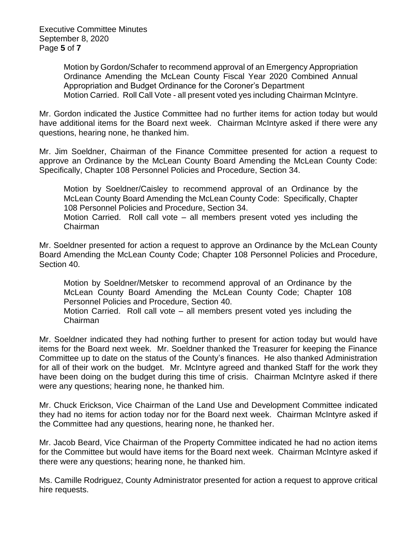Executive Committee Minutes September 8, 2020 Page **5** of **7**

> Motion by Gordon/Schafer to recommend approval of an Emergency Appropriation Ordinance Amending the McLean County Fiscal Year 2020 Combined Annual Appropriation and Budget Ordinance for the Coroner's Department Motion Carried. Roll Call Vote - all present voted yes including Chairman McIntyre.

Mr. Gordon indicated the Justice Committee had no further items for action today but would have additional items for the Board next week. Chairman McIntyre asked if there were any questions, hearing none, he thanked him.

Mr. Jim Soeldner, Chairman of the Finance Committee presented for action a request to approve an Ordinance by the McLean County Board Amending the McLean County Code: Specifically, Chapter 108 Personnel Policies and Procedure, Section 34.

Motion by Soeldner/Caisley to recommend approval of an Ordinance by the McLean County Board Amending the McLean County Code: Specifically, Chapter 108 Personnel Policies and Procedure, Section 34.

Motion Carried. Roll call vote – all members present voted yes including the Chairman

Mr. Soeldner presented for action a request to approve an Ordinance by the McLean County Board Amending the McLean County Code; Chapter 108 Personnel Policies and Procedure, Section 40.

Motion by Soeldner/Metsker to recommend approval of an Ordinance by the McLean County Board Amending the McLean County Code; Chapter 108 Personnel Policies and Procedure, Section 40. Motion Carried. Roll call vote – all members present voted yes including the Chairman

Mr. Soeldner indicated they had nothing further to present for action today but would have items for the Board next week. Mr. Soeldner thanked the Treasurer for keeping the Finance Committee up to date on the status of the County's finances. He also thanked Administration for all of their work on the budget. Mr. McIntyre agreed and thanked Staff for the work they have been doing on the budget during this time of crisis. Chairman McIntyre asked if there were any questions; hearing none, he thanked him.

Mr. Chuck Erickson, Vice Chairman of the Land Use and Development Committee indicated they had no items for action today nor for the Board next week. Chairman McIntyre asked if the Committee had any questions, hearing none, he thanked her.

Mr. Jacob Beard, Vice Chairman of the Property Committee indicated he had no action items for the Committee but would have items for the Board next week. Chairman McIntyre asked if there were any questions; hearing none, he thanked him.

Ms. Camille Rodriguez, County Administrator presented for action a request to approve critical hire requests.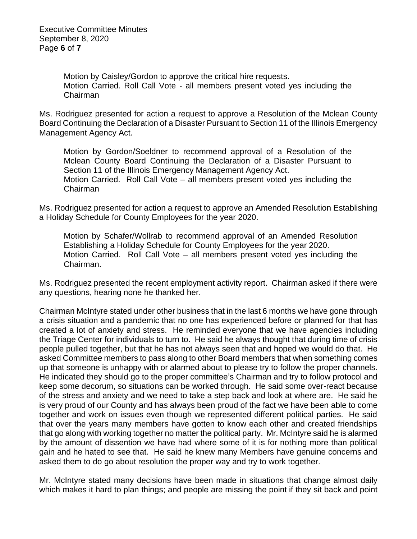Motion by Caisley/Gordon to approve the critical hire requests. Motion Carried. Roll Call Vote - all members present voted yes including the Chairman

Ms. Rodriguez presented for action a request to approve a Resolution of the Mclean County Board Continuing the Declaration of a Disaster Pursuant to Section 11 of the Illinois Emergency Management Agency Act.

Motion by Gordon/Soeldner to recommend approval of a Resolution of the Mclean County Board Continuing the Declaration of a Disaster Pursuant to Section 11 of the Illinois Emergency Management Agency Act. Motion Carried. Roll Call Vote – all members present voted yes including the Chairman

Ms. Rodriguez presented for action a request to approve an Amended Resolution Establishing a Holiday Schedule for County Employees for the year 2020.

Motion by Schafer/Wollrab to recommend approval of an Amended Resolution Establishing a Holiday Schedule for County Employees for the year 2020. Motion Carried. Roll Call Vote – all members present voted yes including the Chairman.

Ms. Rodriguez presented the recent employment activity report. Chairman asked if there were any questions, hearing none he thanked her.

Chairman McIntyre stated under other business that in the last 6 months we have gone through a crisis situation and a pandemic that no one has experienced before or planned for that has created a lot of anxiety and stress. He reminded everyone that we have agencies including the Triage Center for individuals to turn to. He said he always thought that during time of crisis people pulled together, but that he has not always seen that and hoped we would do that. He asked Committee members to pass along to other Board members that when something comes up that someone is unhappy with or alarmed about to please try to follow the proper channels. He indicated they should go to the proper committee's Chairman and try to follow protocol and keep some decorum, so situations can be worked through. He said some over-react because of the stress and anxiety and we need to take a step back and look at where are. He said he is very proud of our County and has always been proud of the fact we have been able to come together and work on issues even though we represented different political parties. He said that over the years many members have gotten to know each other and created friendships that go along with working together no matter the political party. Mr. McIntyre said he is alarmed by the amount of dissention we have had where some of it is for nothing more than political gain and he hated to see that. He said he knew many Members have genuine concerns and asked them to do go about resolution the proper way and try to work together.

Mr. McIntyre stated many decisions have been made in situations that change almost daily which makes it hard to plan things; and people are missing the point if they sit back and point